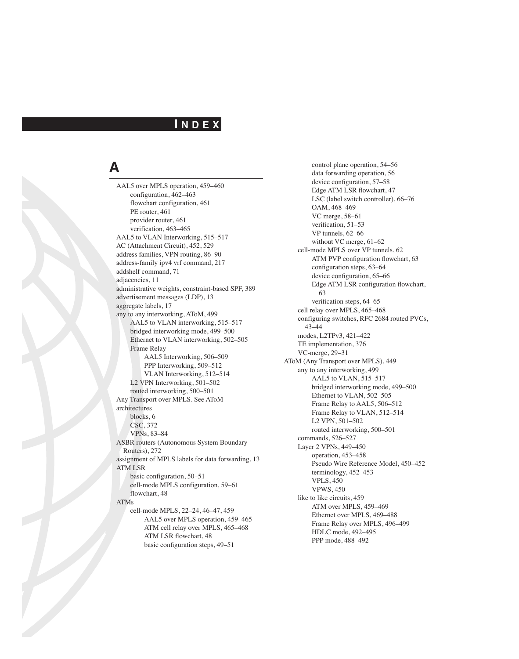#### **I N D E X**

# **A**

AAL5 over MPLS operation, 459–460 configuration, 462–463 flowchart configuration, 461 PE router, 461 provider router, 461 verification, 463–465 AAL5 to VLAN Interworking, 515–517 AC (Attachment Circuit), 452, 529 address families, VPN routing, 86–90 address-family ipv4 vrf command, 217 addshelf command, 71 adjacencies, 11 administrative weights, constraint-based SPF, 389 advertisement messages (LDP), 13 aggregate labels, 17 any to any interworking, AToM, 499 AAL5 to VLAN interworking, 515–517 bridged interworking mode, 499–500 Ethernet to VLAN interworking, 502–505 Frame Relay AAL5 Interworking, 506–509 PPP Interworking, 509–512 VLAN Interworking, 512–514 L2 VPN Interworking, 501–502 routed interworking, 500–501 Any Transport over MPLS. See AToM architectures blocks, 6 CSC, 372 VPNs, 83–84 ASBR routers (Autonomous System Boundary Routers), 272 assignment of MPLS labels for data forwarding, 13 ATM LSR basic configuration, 50–51 cell-mode MPLS configuration, 59–61 flowchart, 48 ATMs cell-mode MPLS, 22–24, 46–47, 459 AAL5 over MPLS operation, 459–465 ATM cell relay over MPLS, 465–468 ATM LSR flowchart, 48 basic configuration steps, 49–51

control plane operation, 54–56 data forwarding operation, 56 device configuration, 57–58 Edge ATM LSR flowchart, 47 LSC (label switch controller), 66–76 OAM, 468–469 VC merge, 58–61 verification, 51–53 VP tunnels, 62–66 without VC merge, 61–62 cell-mode MPLS over VP tunnels, 62 ATM PVP configuration flowchart, 63 configuration steps, 63–64 device configuration, 65–66 Edge ATM LSR configuration flowchart, 63 verification steps, 64–65 cell relay over MPLS, 465–468 configuring switches, RFC 2684 routed PVCs, 43–44 modes, L2TPv3, 421–422 TE implementation, 376 VC-merge, 29–31 AToM (Any Transport over MPLS), 449 any to any interworking, 499 AAL5 to VLAN, 515–517 bridged interworking mode, 499–500 Ethernet to VLAN, 502–505 Frame Relay to AAL5, 506–512 Frame Relay to VLAN, 512–514 L2 VPN, 501–502 routed interworking, 500–501 commands, 526–527 Layer 2 VPNs, 449–450 operation, 453–458 Pseudo Wire Reference Model, 450–452 terminology, 452–453 VPLS, 450 VPWS, 450 like to like circuits, 459 ATM over MPLS, 459–469 Ethernet over MPLS, 469–488 Frame Relay over MPLS, 496–499 HDLC mode, 492–495 PPP mode, 488–492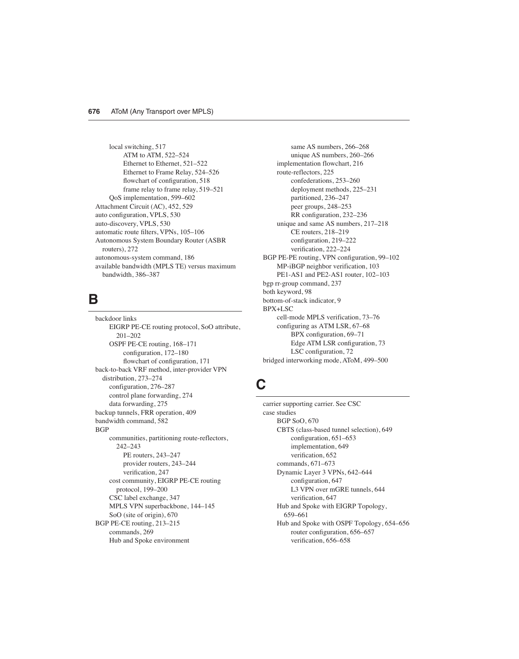local switching, 517 ATM to ATM, 522–524 Ethernet to Ethernet, 521–522 Ethernet to Frame Relay, 524–526 flowchart of configuration, 518 frame relay to frame relay, 519–521 QoS implementation, 599–602 Attachment Circuit (AC), 452, 529 auto configuration, VPLS, 530 auto-discovery, VPLS, 530 automatic route filters, VPNs, 105–106 Autonomous System Boundary Router (ASBR routers), 272 autonomous-system command, 186 available bandwidth (MPLS TE) versus maximum bandwidth, 386–387

#### **B**

backdoor links EIGRP PE-CE routing protocol, SoO attribute, 201–202 OSPF PE-CE routing, 168–171 configuration, 172–180 flowchart of configuration, 171 back-to-back VRF method, inter-provider VPN distribution, 273–274 configuration, 276–287 control plane forwarding, 274 data forwarding, 275 backup tunnels, FRR operation, 409 bandwidth command, 582 **BGP** communities, partitioning route-reflectors, 242–243 PE routers, 243–247 provider routers, 243–244 verification, 247 cost community, EIGRP PE-CE routing protocol, 199–200 CSC label exchange, 347 MPLS VPN superbackbone, 144–145 SoO (site of origin), 670 BGP PE-CE routing, 213–215 commands, 269 Hub and Spoke environment

same AS numbers, 266–268 unique AS numbers, 260–266 implementation flowchart, 216 route-reflectors, 225 confederations, 253–260 deployment methods, 225–231 partitioned, 236–247 peer groups, 248–253 RR configuration, 232–236 unique and same AS numbers, 217–218 CE routers, 218–219 configuration, 219–222 verification, 222–224 BGP PE-PE routing, VPN configuration, 99–102 MP-iBGP neighbor verification, 103 PE1-AS1 and PE2-AS1 router, 102–103 bgp rr-group command, 237 both keyword, 98 bottom-of-stack indicator, 9 BPX+LSC cell-mode MPLS verification, 73–76 configuring as ATM LSR, 67–68 BPX configuration, 69–71 Edge ATM LSR configuration, 73 LSC configuration, 72 bridged interworking mode, AToM, 499–500

### **C**

carrier supporting carrier. See CSC case studies BGP SoO, 670 CBTS (class-based tunnel selection), 649 configuration, 651–653 implementation, 649 verification, 652 commands, 671–673 Dynamic Layer 3 VPNs, 642–644 configuration, 647 L3 VPN over mGRE tunnels, 644 verification, 647 Hub and Spoke with EIGRP Topology, 659–661 Hub and Spoke with OSPF Topology, 654–656 router configuration, 656–657 verification, 656–658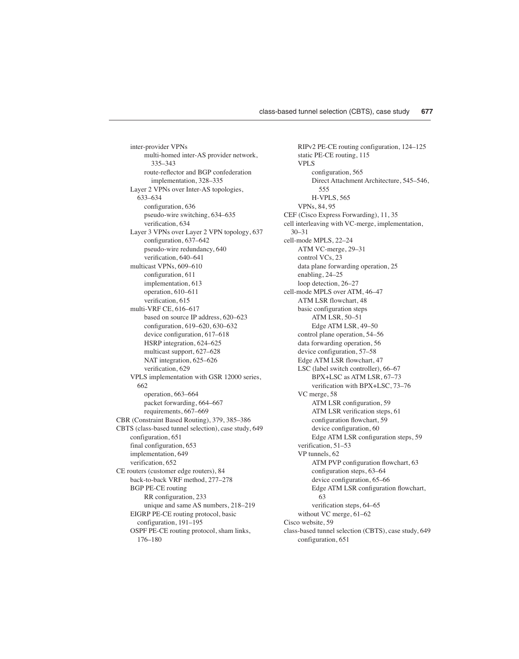inter-provider VPNs multi-homed inter-AS provider network, 335–343 route-reflector and BGP confederation implementation, 328–335 Layer 2 VPNs over Inter-AS topologies, 633–634 configuration, 636 pseudo-wire switching, 634–635 verification, 634 Layer 3 VPNs over Layer 2 VPN topology, 637 configuration, 637–642 pseudo-wire redundancy, 640 verification, 640–641 multicast VPNs, 609–610 configuration, 611 implementation, 613 operation, 610–611 verification, 615 multi-VRF CE, 616–617 based on source IP address, 620–623 configuration, 619–620, 630–632 device configuration, 617–618 HSRP integration, 624–625 multicast support, 627–628 NAT integration, 625–626 verification, 629 VPLS implementation with GSR 12000 series, 662 operation, 663–664 packet forwarding, 664–667 requirements, 667–669 CBR (Constraint Based Routing), 379, 385–386 CBTS (class-based tunnel selection), case study, 649 configuration, 651 final configuration, 653 implementation, 649 verification, 652 CE routers (customer edge routers), 84 back-to-back VRF method, 277–278 BGP PE-CE routing RR configuration, 233 unique and same AS numbers, 218–219 EIGRP PE-CE routing protocol, basic configuration, 191–195 OSPF PE-CE routing protocol, sham links, 176–180

RIPv2 PE-CE routing configuration, 124–125 static PE-CE routing, 115 VPLS configuration, 565 Direct Attachment Architecture, 545–546, 555 H-VPLS, 565 VPNs, 84, 95 CEF (Cisco Express Forwarding), 11, 35 cell interleaving with VC-merge, implementation, 30–31 cell-mode MPLS, 22–24 ATM VC-merge, 29–31 control VCs, 23 data plane forwarding operation, 25 enabling, 24–25 loop detection, 26–27 cell-mode MPLS over ATM, 46–47 ATM LSR flowchart, 48 basic configuration steps ATM LSR, 50–51 Edge ATM LSR, 49–50 control plane operation, 54–56 data forwarding operation, 56 device configuration, 57–58 Edge ATM LSR flowchart, 47 LSC (label switch controller), 66–67 BPX+LSC as ATM LSR, 67–73 verification with BPX+LSC, 73–76 VC merge, 58 ATM LSR configuration, 59 ATM LSR verification steps, 61 configuration flowchart, 59 device configuration, 60 Edge ATM LSR configuration steps, 59 verification, 51–53 VP tunnels, 62 ATM PVP configuration flowchart, 63 configuration steps, 63–64 device configuration, 65–66 Edge ATM LSR configuration flowchart, 63 verification steps, 64–65 without VC merge, 61–62 Cisco website, 59 class-based tunnel selection (CBTS), case study, 649 configuration, 651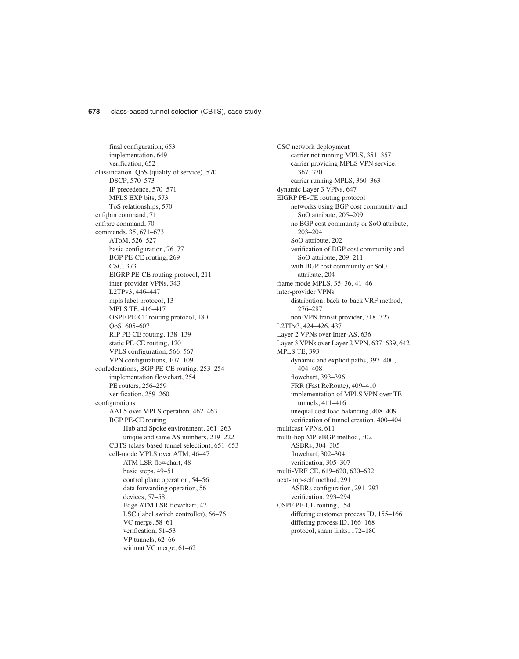final configuration, 653 implementation, 649 verification, 652 classification, QoS (quality of service), 570 DSCP, 570–573 IP precedence, 570–571 MPLS EXP bits, 573 ToS relationships, 570 cnfqbin command, 71 cnfrsrc command, 70 commands, 35, 671–673 AToM, 526–527 basic configuration, 76–77 BGP PE-CE routing, 269 CSC, 373 EIGRP PE-CE routing protocol, 211 inter-provider VPNs, 343 L2TPv3, 446–447 mpls label protocol, 13 MPLS TE, 416–417 OSPF PE-CE routing protocol, 180 QoS, 605–607 RIP PE-CE routing, 138–139 static PE-CE routing, 120 VPLS configuration, 566–567 VPN configurations, 107–109 confederations, BGP PE-CE routing, 253–254 implementation flowchart, 254 PE routers, 256–259 verification, 259–260 configurations AAL5 over MPLS operation, 462–463 BGP PE-CE routing Hub and Spoke environment, 261–263 unique and same AS numbers, 219–222 CBTS (class-based tunnel selection), 651–653 cell-mode MPLS over ATM, 46–47 ATM LSR flowchart, 48 basic steps, 49–51 control plane operation, 54–56 data forwarding operation, 56 devices, 57–58 Edge ATM LSR flowchart, 47 LSC (label switch controller), 66–76 VC merge, 58–61 verification, 51–53 VP tunnels, 62–66 without VC merge, 61–62

CSC network deployment carrier not running MPLS, 351–357 carrier providing MPLS VPN service, 367–370 carrier running MPLS, 360–363 dynamic Layer 3 VPNs, 647 EIGRP PE-CE routing protocol networks using BGP cost community and SoO attribute, 205–209 no BGP cost community or SoO attribute, 203–204 SoO attribute, 202 verification of BGP cost community and SoO attribute, 209–211 with BGP cost community or SoO attribute, 204 frame mode MPLS, 35–36, 41–46 inter-provider VPNs distribution, back-to-back VRF method, 276–287 non-VPN transit provider, 318–327 L2TPv3, 424–426, 437 Layer 2 VPNs over Inter-AS, 636 Layer 3 VPNs over Layer 2 VPN, 637–639, 642 MPLS TE, 393 dynamic and explicit paths, 397–400, 404–408 flowchart, 393–396 FRR (Fast ReRoute), 409–410 implementation of MPLS VPN over TE tunnels, 411–416 unequal cost load balancing, 408–409 verification of tunnel creation, 400–404 multicast VPNs, 611 multi-hop MP-eBGP method, 302 ASBRs, 304–305 flowchart, 302–304 verification, 305–307 multi-VRF CE, 619–620, 630–632 next-hop-self method, 291 ASBRs configuration, 291–293 verification, 293–294 OSPF PE-CE routing, 154 differing customer process ID, 155–166 differing process ID, 166–168 protocol, sham links, 172–180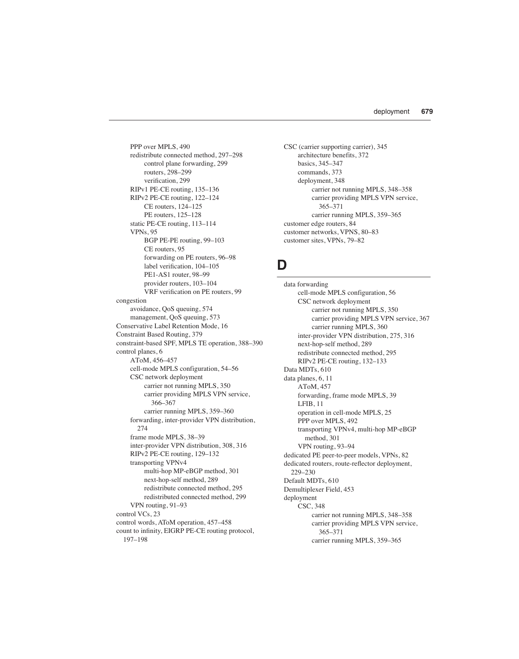PPP over MPLS, 490 redistribute connected method, 297–298 control plane forwarding, 299 routers, 298–299 verification, 299 RIPv1 PE-CE routing, 135–136 RIPv2 PE-CE routing, 122–124 CE routers, 124–125 PE routers, 125–128 static PE-CE routing, 113–114 VPNs, 95 BGP PE-PE routing, 99–103 CE routers, 95 forwarding on PE routers, 96–98 label verification, 104–105 PE1-AS1 router, 98–99 provider routers, 103–104 VRF verification on PE routers, 99 congestion avoidance, QoS queuing, 574 management, QoS queuing, 573 Conservative Label Retention Mode, 16 Constraint Based Routing, 379 constraint-based SPF, MPLS TE operation, 388–390 control planes, 6 AToM, 456–457 cell-mode MPLS configuration, 54–56 CSC network deployment carrier not running MPLS, 350 carrier providing MPLS VPN service, 366–367 carrier running MPLS, 359–360 forwarding, inter-provider VPN distribution,  $274$ frame mode MPLS, 38–39 inter-provider VPN distribution, 308, 316 RIPv2 PE-CE routing, 129–132 transporting VPNv4 multi-hop MP-eBGP method, 301 next-hop-self method, 289 redistribute connected method, 295 redistributed connected method, 299 VPN routing, 91–93 control VCs, 23 control words, AToM operation, 457–458 count to infinity, EIGRP PE-CE routing protocol, 197–198

CSC (carrier supporting carrier), 345 architecture benefits, 372 basics, 345–347 commands, 373 deployment, 348 carrier not running MPLS, 348–358 carrier providing MPLS VPN service, 365–371 carrier running MPLS, 359–365 customer edge routers, 84 customer networks, VPNS, 80–83 customer sites, VPNs, 79–82

#### **D**

data forwarding cell-mode MPLS configuration, 56 CSC network deployment carrier not running MPLS, 350 carrier providing MPLS VPN service, 367 carrier running MPLS, 360 inter-provider VPN distribution, 275, 316 next-hop-self method, 289 redistribute connected method, 295 RIPv2 PE-CE routing, 132–133 Data MDTs, 610 data planes, 6, 11 AToM, 457 forwarding, frame mode MPLS, 39 LFIB, 11 operation in cell-mode MPLS, 25 PPP over MPLS, 492 transporting VPNv4, multi-hop MP-eBGP method, 301 VPN routing, 93–94 dedicated PE peer-to-peer models, VPNs, 82 dedicated routers, route-reflector deployment, 229–230 Default MDTs, 610 Demultiplexer Field, 453 deployment CSC, 348 carrier not running MPLS, 348–358 carrier providing MPLS VPN service, 365–371 carrier running MPLS, 359–365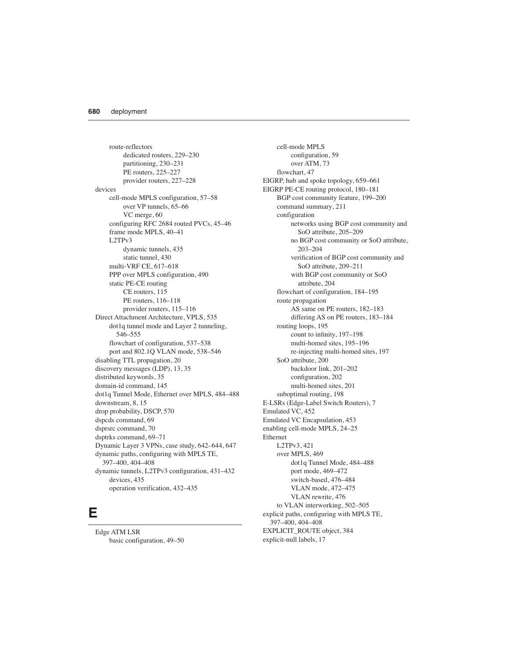route-reflectors dedicated routers, 229–230 partitioning, 230–231 PE routers, 225–227 provider routers, 227–228 devices cell-mode MPLS configuration, 57–58 over VP tunnels, 65–66 VC merge, 60 configuring RFC 2684 routed PVCs, 45–46 frame mode MPLS, 40–41 L2TPv3 dynamic tunnels, 435 static tunnel, 430 multi-VRF CE, 617–618 PPP over MPLS configuration, 490 static PE-CE routing CE routers, 115 PE routers, 116–118 provider routers, 115–116 Direct Attachment Architecture, VPLS, 535 dot1q tunnel mode and Layer 2 tunneling, 546–555 flowchart of configuration, 537–538 port and 802.1Q VLAN mode, 538–546 disabling TTL propagation, 20 discovery messages (LDP), 13, 35 distributed keywords, 35 domain-id command, 145 dot1q Tunnel Mode, Ethernet over MPLS, 484–488 downstream, 8, 15 drop probability, DSCP, 570 dspcds command, 69 dsprsrc command, 70 dsptrks command, 69–71 Dynamic Layer 3 VPNs, case study, 642–644, 647 dynamic paths, configuring with MPLS TE, 397–400, 404–408 dynamic tunnels, L2TPv3 configuration, 431–432 devices, 435 operation verification, 432–435

#### **E**

Edge ATM LSR basic configuration, 49–50

cell-mode MPLS configuration, 59 over ATM, 73 flowchart, 47 EIGRP, hub and spoke topology, 659–661 EIGRP PE-CE routing protocol, 180–181 BGP cost community feature, 199–200 command summary, 211 configuration networks using BGP cost community and SoO attribute, 205–209 no BGP cost community or SoO attribute, 203–204 verification of BGP cost community and SoO attribute, 209–211 with BGP cost community or SoO attribute, 204 flowchart of configuration, 184–195 route propagation AS same on PE routers, 182–183 differing AS on PE routers, 183–184 routing loops, 195 count to infinity, 197–198 multi-homed sites, 195–196 re-injecting multi-homed sites, 197 SoO attribute, 200 backdoor link, 201–202 configuration, 202 multi-homed sites, 201 suboptimal routing, 198 E-LSRs (Edge-Label Switch Routers), 7 Emulated VC, 452 Emulated VC Encapsulation, 453 enabling cell-mode MPLS, 24–25 Ethernet L2TPv3, 421 over MPLS, 469 dot1q Tunnel Mode, 484–488 port mode, 469–472 switch-based, 476–484 VLAN mode, 472–475 VLAN rewrite, 476 to VLAN interworking, 502–505 explicit paths, configuring with MPLS TE, 397–400, 404–408 EXPLICIT\_ROUTE object, 384 explicit-null labels, 17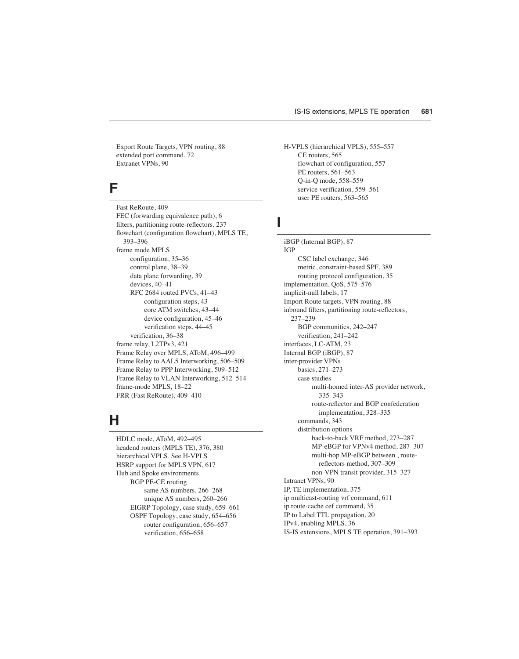Export Route Targets, VPN routing, 88 extended port command, 72 Extranet VPNs, 90

### **F**

Fast ReRoute, 409 FEC (forwarding equivalence path), 6 filters, partitioning route-reflectors, 237 flowchart (configuration flowchart), MPLS TE, 393–396 frame mode MPLS configuration, 35–36 control plane, 38–39 data plane forwarding, 39 devices, 40–41 RFC 2684 routed PVCs, 41–43 configuration steps, 43 core ATM switches, 43–44 device configuration, 45–46 verification steps, 44–45 verification, 36–38 frame relay, L2TPv3, 421 Frame Relay over MPLS, AToM, 496–499 Frame Relay to AAL5 Interworking, 506–509 Frame Relay to PPP Interworking, 509–512 Frame Relay to VLAN Interworking, 512–514 frame-mode MPLS, 18–22 FRR (Fast ReRoute), 409–410

# **H**

HDLC mode, AToM, 492–495 headend routers (MPLS TE), 376, 380 hierarchical VPLS. See H-VPLS HSRP support for MPLS VPN, 617 Hub and Spoke environments BGP PE-CE routing same AS numbers, 266–268 unique AS numbers, 260–266 EIGRP Topology, case study, 659–661 OSPF Topology, case study, 654–656 router configuration, 656–657 verification, 656–658

H-VPLS (hierarchical VPLS), 555–557 CE routers, 565 flowchart of configuration, 557 PE routers, 561–563 Q-in-Q mode, 558–559 service verification, 559–561 user PE routers, 563–565

### **I**

iBGP (Internal BGP), 87 IGP CSC label exchange, 346 metric, constraint-based SPF, 389 routing protocol configuration, 35 implementation, QoS, 575–576 implicit-null labels, 17 Import Route targets, VPN routing, 88 inbound filters, partitioning route-reflectors, 237–239 BGP communities, 242–247 verification, 241–242 interfaces, LC-ATM, 23 Internal BGP (iBGP), 87 inter-provider VPNs basics, 271–273 case studies multi-homed inter-AS provider network, 335–343 route-reflector and BGP confederation implementation, 328–335 commands, 343 distribution options back-to-back VRF method, 273–287 MP-eBGP for VPNv4 method, 287–307 multi-hop MP-eBGP between , routereflectors method, 307–309 non-VPN transit provider, 315–327 Intranet VPNs, 90 IP, TE implementation, 375 ip multicast-routing vrf command, 611 ip route-cache cef command, 35 IP to Label TTL propagation, 20 IPv4, enabling MPLS, 36 IS-IS extensions, MPLS TE operation, 391–393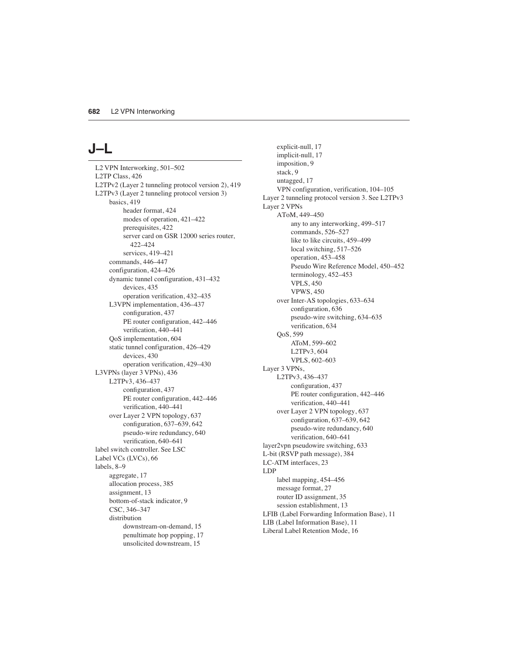## **J–L**

L2 VPN Interworking, 501–502 L2TP Class, 426 L2TPv2 (Layer 2 tunneling protocol version 2), 419 L2TPv3 (Layer 2 tunneling protocol version 3) basics, 419 header format, 424 modes of operation, 421–422 prerequisites, 422 server card on GSR 12000 series router, 422–424 services, 419–421 commands, 446–447 configuration, 424–426 dynamic tunnel configuration, 431–432 devices, 435 operation verification, 432–435 L3VPN implementation, 436–437 configuration, 437 PE router configuration, 442–446 verification, 440–441 QoS implementation, 604 static tunnel configuration, 426–429 devices, 430 operation verification, 429–430 L3VPNs (layer 3 VPNs), 436 L2TPv3, 436–437 configuration, 437 PE router configuration, 442–446 verification, 440–441 over Layer 2 VPN topology, 637 configuration, 637–639, 642 pseudo-wire redundancy, 640 verification, 640–641 label switch controller. See LSC Label VCs (LVCs), 66 labels, 8–9 aggregate, 17 allocation process, 385 assignment, 13 bottom-of-stack indicator, 9 CSC, 346–347 distribution downstream-on-demand, 15 penultimate hop popping, 17 unsolicited downstream, 15

explicit-null, 17 implicit-null, 17 imposition, 9 stack, 9 untagged, 17 VPN configuration, verification, 104–105 Layer 2 tunneling protocol version 3. See L2TPv3 Layer 2 VPNs AToM, 449–450 any to any interworking, 499–517 commands, 526–527 like to like circuits, 459–499 local switching, 517–526 operation, 453–458 Pseudo Wire Reference Model, 450–452 terminology, 452–453 VPLS, 450 VPWS, 450 over Inter-AS topologies, 633–634 configuration, 636 pseudo-wire switching, 634–635 verification, 634 QoS, 599 AToM, 599–602 L2TPv3, 604 VPLS, 602–603 Layer 3 VPNs, L2TPv3, 436–437 configuration, 437 PE router configuration, 442–446 verification, 440–441 over Layer 2 VPN topology, 637 configuration, 637–639, 642 pseudo-wire redundancy, 640 verification, 640–641 layer2vpn pseudowire switching, 633 L-bit (RSVP path message), 384 LC-ATM interfaces, 23 LDP label mapping, 454–456 message format, 27 router ID assignment, 35 session establishment, 13 LFIB (Label Forwarding Information Base), 11 LIB (Label Information Base), 11 Liberal Label Retention Mode, 16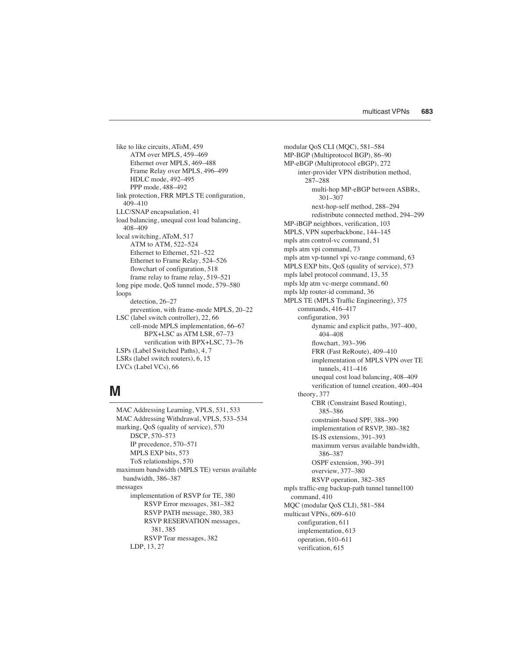like to like circuits, AToM, 459 ATM over MPLS, 459–469 Ethernet over MPLS, 469–488 Frame Relay over MPLS, 496–499 HDLC mode, 492–495 PPP mode, 488–492 link protection, FRR MPLS TE configuration, 409–410 LLC/SNAP encapsulation, 41 load balancing, unequal cost load balancing, 408–409 local switching, AToM, 517 ATM to ATM, 522–524 Ethernet to Ethernet, 521-522 Ethernet to Frame Relay, 524–526 flowchart of configuration, 518 frame relay to frame relay, 519–521 long pipe mode, QoS tunnel mode, 579–580 loops detection, 26–27 prevention, with frame-mode MPLS, 20–22 LSC (label switch controller), 22, 66 cell-mode MPLS implementation, 66–67 BPX+LSC as ATM LSR, 67–73 verification with BPX+LSC, 73–76 LSPs (Label Switched Paths), 4, 7 LSRs (label switch routers), 6, 15 LVCs (Label VCs), 66

#### **M**

MAC Addressing Learning, VPLS, 531, 533 MAC Addressing Withdrawal, VPLS, 533–534 marking, QoS (quality of service), 570 DSCP, 570–573 IP precedence, 570–571 MPLS EXP bits, 573 ToS relationships, 570 maximum bandwidth (MPLS TE) versus available bandwidth, 386–387 messages implementation of RSVP for TE, 380 RSVP Error messages, 381–382 RSVP PATH message, 380, 383 RSVP RESERVATION messages, 381, 385 RSVP Tear messages, 382 LDP, 13, 27

modular QoS CLI (MQC), 581–584 MP-BGP (Multiprotocol BGP), 86–90 MP-eBGP (Multiprotocol eBGP), 272 inter-provider VPN distribution method, 287–288 multi-hop MP-eBGP between ASBRs, 301–307 next-hop-self method, 288–294 redistribute connected method, 294–299 MP-iBGP neighbors, verification, 103 MPLS, VPN superbackbone, 144–145 mpls atm control-vc command, 51 mpls atm vpi command, 73 mpls atm vp-tunnel vpi vc-range command, 63 MPLS EXP bits, QoS (quality of service), 573 mpls label protocol command, 13, 35 mpls ldp atm vc-merge command, 60 mpls ldp router-id command, 36 MPLS TE (MPLS Traffic Engineering), 375 commands, 416–417 configuration, 393 dynamic and explicit paths, 397–400, 404–408 flowchart, 393–396 FRR (Fast ReRoute), 409–410 implementation of MPLS VPN over TE tunnels, 411–416 unequal cost load balancing, 408–409 verification of tunnel creation, 400–404 theory, 377 CBR (Constraint Based Routing), 385–386 constraint-based SPF, 388–390 implementation of RSVP, 380–382 IS-IS extensions, 391–393 maximum versus available bandwidth, 386–387 OSPF extension, 390–391 overview, 377–380 RSVP operation, 382–385 mpls traffic-eng backup-path tunnel tunnel100 command, 410 MQC (modular QoS CLI), 581–584 multicast VPNs, 609–610 configuration, 611 implementation, 613 operation, 610–611 verification, 615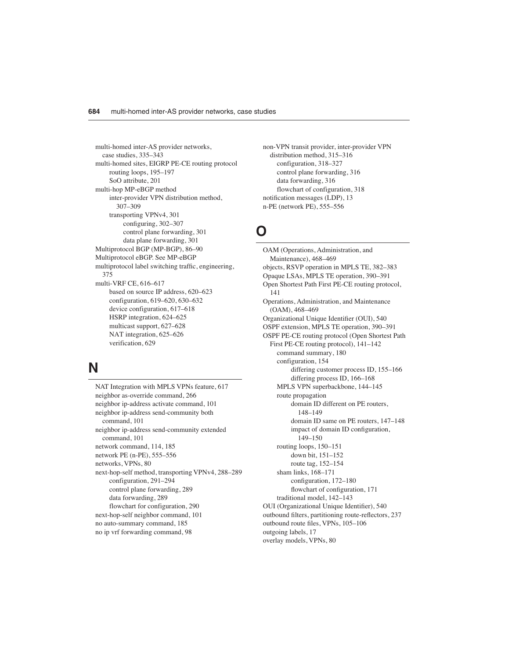multi-homed inter-AS provider networks, case studies, 335–343 multi-homed sites, EIGRP PE-CE routing protocol routing loops, 195–197 SoO attribute, 201 multi-hop MP-eBGP method inter-provider VPN distribution method, 307–309 transporting VPNv4, 301 configuring, 302–307 control plane forwarding, 301 data plane forwarding, 301 Multiprotocol BGP (MP-BGP), 86–90 Multiprotocol eBGP. See MP-eBGP multiprotocol label switching traffic, engineering, 375 multi-VRF CE, 616–617 based on source IP address, 620–623 configuration, 619–620, 630–632 device configuration, 617–618 HSRP integration, 624–625 multicast support, 627–628 NAT integration, 625–626 verification, 629

## **N**

NAT Integration with MPLS VPNs feature, 617 neighbor as-override command, 266 neighbor ip-address activate command, 101 neighbor ip-address send-community both command, 101 neighbor ip-address send-community extended command, 101 network command, 114, 185 network PE (n-PE), 555–556 networks, VPNs, 80 next-hop-self method, transporting VPNv4, 288–289 configuration, 291–294 control plane forwarding, 289 data forwarding, 289 flowchart for configuration, 290 next-hop-self neighbor command, 101 no auto-summary command, 185 no ip vrf forwarding command, 98

non-VPN transit provider, inter-provider VPN distribution method, 315–316 configuration, 318–327 control plane forwarding, 316 data forwarding, 316 flowchart of configuration, 318 notification messages (LDP), 13 n-PE (network PE), 555–556

### **O**

OAM (Operations, Administration, and Maintenance), 468–469 objects, RSVP operation in MPLS TE, 382–383 Opaque LSAs, MPLS TE operation, 390–391 Open Shortest Path First PE-CE routing protocol, 141 Operations, Administration, and Maintenance (OAM), 468–469 Organizational Unique Identifier (OUI), 540 OSPF extension, MPLS TE operation, 390–391 OSPF PE-CE routing protocol (Open Shortest Path First PE-CE routing protocol), 141–142 command summary, 180 configuration, 154 differing customer process ID, 155–166 differing process ID, 166–168 MPLS VPN superbackbone, 144–145 route propagation domain ID different on PE routers, 148–149 domain ID same on PE routers, 147–148 impact of domain ID configuration, 149–150 routing loops, 150–151 down bit, 151–152 route tag, 152–154 sham links, 168–171 configuration, 172–180 flowchart of configuration, 171 traditional model, 142–143 OUI (Organizational Unique Identifier), 540 outbound filters, partitioning route-reflectors, 237 outbound route files, VPNs, 105–106 outgoing labels, 17 overlay models, VPNs, 80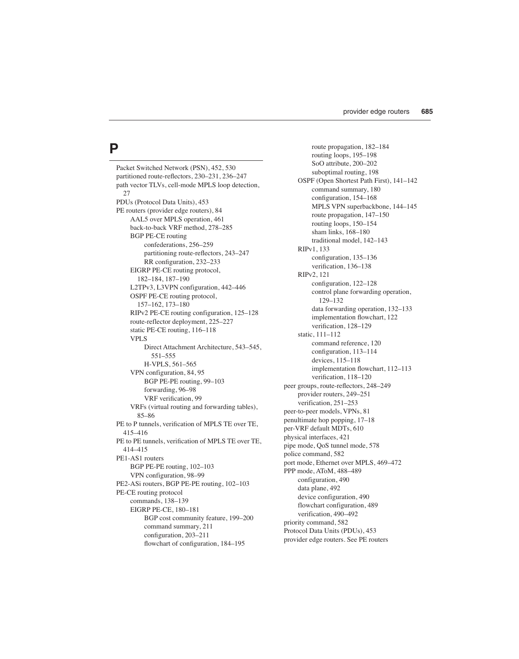## **P**

Packet Switched Network (PSN), 452, 530 partitioned route-reflectors, 230–231, 236–247 path vector TLVs, cell-mode MPLS loop detection, 27 PDUs (Protocol Data Units), 453 PE routers (provider edge routers), 84 AAL5 over MPLS operation, 461 back-to-back VRF method, 278–285 BGP PE-CE routing confederations, 256–259 partitioning route-reflectors, 243–247 RR configuration, 232–233 EIGRP PE-CE routing protocol, 182–184, 187–190 L2TPv3, L3VPN configuration, 442–446 OSPF PE-CE routing protocol, 157–162, 173–180 RIPv2 PE-CE routing configuration, 125–128 route-reflector deployment, 225–227 static PE-CE routing, 116–118 VPLS Direct Attachment Architecture, 543–545, 551–555 H-VPLS, 561–565 VPN configuration, 84, 95 BGP PE-PE routing, 99–103 forwarding, 96–98 VRF verification, 99 VRFs (virtual routing and forwarding tables), 85–86 PE to P tunnels, verification of MPLS TE over TE, 415–416 PE to PE tunnels, verification of MPLS TE over TE, 414–415 PE1-AS1 routers BGP PE-PE routing, 102–103 VPN configuration, 98–99 PE2-ASi routers, BGP PE-PE routing, 102–103 PE-CE routing protocol commands, 138–139 EIGRP PE-CE, 180–181 BGP cost community feature, 199–200 command summary, 211 configuration, 203–211 flowchart of configuration, 184–195

route propagation, 182–184 routing loops, 195–198 SoO attribute, 200–202 suboptimal routing, 198 OSPF (Open Shortest Path First), 141–142 command summary, 180 configuration, 154–168 MPLS VPN superbackbone, 144–145 route propagation, 147–150 routing loops, 150–154 sham links, 168–180 traditional model, 142–143 RIPv1, 133 configuration, 135–136 verification, 136–138 RIPv2, 121 configuration, 122–128 control plane forwarding operation, 129–132 data forwarding operation, 132–133 implementation flowchart, 122 verification, 128–129 static, 111–112 command reference, 120 configuration, 113–114 devices, 115–118 implementation flowchart, 112–113 verification, 118–120 peer groups, route-reflectors, 248–249 provider routers, 249–251 verification, 251–253 peer-to-peer models, VPNs, 81 penultimate hop popping, 17–18 per-VRF default MDTs, 610 physical interfaces, 421 pipe mode, QoS tunnel mode, 578 police command, 582 port mode, Ethernet over MPLS, 469–472 PPP mode, AToM, 488–489 configuration, 490 data plane, 492 device configuration, 490 flowchart configuration, 489 verification, 490–492 priority command, 582 Protocol Data Units (PDUs), 453 provider edge routers. See PE routers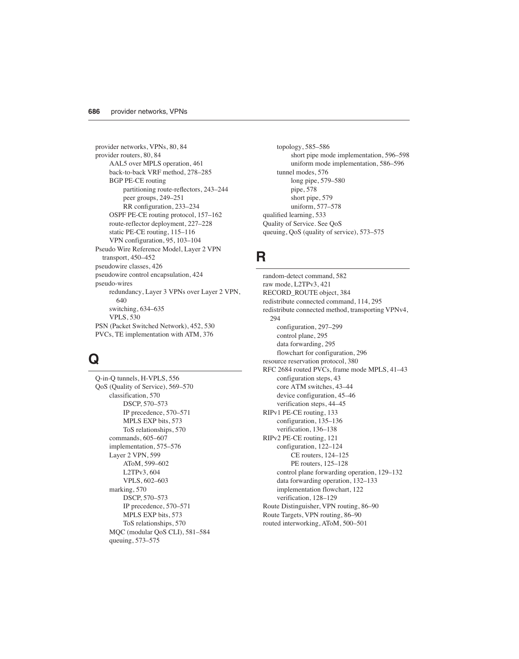provider networks, VPNs, 80, 84 provider routers, 80, 84 AAL5 over MPLS operation, 461 back-to-back VRF method, 278–285 BGP PE-CE routing partitioning route-reflectors, 243–244 peer groups, 249–251 RR configuration, 233–234 OSPF PE-CE routing protocol, 157–162 route-reflector deployment, 227–228 static PE-CE routing, 115–116 VPN configuration, 95, 103–104 Pseudo Wire Reference Model, Layer 2 VPN transport, 450–452 pseudowire classes, 426 pseudowire control encapsulation, 424 pseudo-wires redundancy, Layer 3 VPNs over Layer 2 VPN, 640 switching, 634–635 VPLS, 530 PSN (Packet Switched Network), 452, 530 PVCs, TE implementation with ATM, 376

### **Q**

Q-in-Q tunnels, H-VPLS, 556 QoS (Quality of Service), 569–570 classification, 570 DSCP, 570–573 IP precedence, 570–571 MPLS EXP bits, 573 ToS relationships, 570 commands, 605–607 implementation, 575–576 Layer 2 VPN, 599 AToM, 599–602 L2TPv3, 604 VPLS, 602–603 marking, 570 DSCP, 570–573 IP precedence, 570–571 MPLS EXP bits, 573 ToS relationships, 570 MQC (modular QoS CLI), 581–584 queuing, 573–575

topology, 585–586 short pipe mode implementation, 596–598 uniform mode implementation, 586–596 tunnel modes, 576 long pipe, 579–580 pipe, 578 short pipe, 579 uniform, 577–578 qualified learning, 533 Quality of Service. See QoS queuing, QoS (quality of service), 573–575

#### **R**

random-detect command, 582 raw mode, L2TPv3, 421 RECORD\_ROUTE object, 384 redistribute connected command, 114, 295 redistribute connected method, transporting VPNv4, 294 configuration, 297–299 control plane, 295 data forwarding, 295 flowchart for configuration, 296 resource reservation protocol, 380 RFC 2684 routed PVCs, frame mode MPLS, 41–43 configuration steps, 43 core ATM switches, 43–44 device configuration, 45–46 verification steps, 44–45 RIPv1 PE-CE routing, 133 configuration, 135–136 verification, 136–138 RIPv2 PE-CE routing, 121 configuration, 122–124 CE routers, 124–125 PE routers, 125–128 control plane forwarding operation, 129–132 data forwarding operation, 132–133 implementation flowchart, 122 verification, 128–129 Route Distinguisher, VPN routing, 86–90 Route Targets, VPN routing, 86–90 routed interworking, AToM, 500–501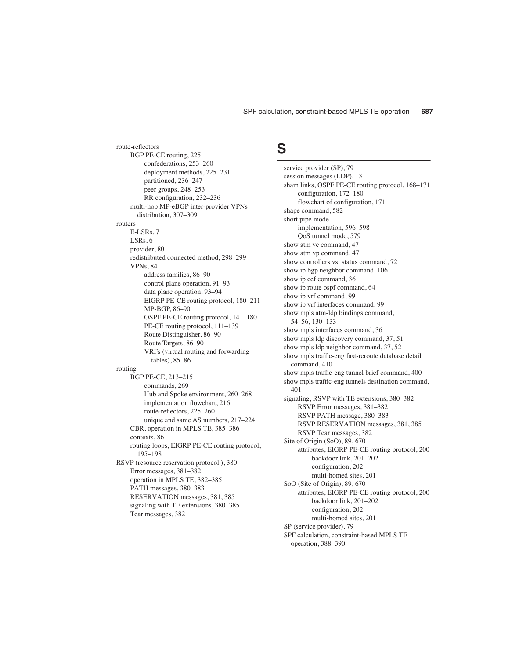route-reflectors BGP PE-CE routing, 225 confederations, 253–260 deployment methods, 225–231 partitioned, 236–247 peer groups, 248–253 RR configuration, 232–236 multi-hop MP-eBGP inter-provider VPNs distribution, 307–309 routers E-LSRs, 7 LSRs, 6 provider, 80 redistributed connected method, 298–299 VPNs, 84 address families, 86–90 control plane operation, 91–93 data plane operation, 93–94 EIGRP PE-CE routing protocol, 180–211 MP-BGP, 86–90 OSPF PE-CE routing protocol, 141–180 PE-CE routing protocol, 111–139 Route Distinguisher, 86–90 Route Targets, 86–90 VRFs (virtual routing and forwarding tables), 85–86 routing BGP PE-CE, 213–215 commands, 269 Hub and Spoke environment, 260–268 implementation flowchart, 216 route-reflectors, 225–260 unique and same AS numbers, 217–224 CBR, operation in MPLS TE, 385–386 contexts, 86 routing loops, EIGRP PE-CE routing protocol, 195–198 RSVP (resource reservation protocol ), 380 Error messages, 381–382 operation in MPLS TE, 382–385 PATH messages, 380–383 RESERVATION messages, 381, 385 signaling with TE extensions, 380–385 Tear messages, 382

#### **S**

service provider (SP), 79 session messages (LDP), 13 sham links, OSPF PE-CE routing protocol, 168–171 configuration, 172–180 flowchart of configuration, 171 shape command, 582 short pipe mode implementation, 596–598 QoS tunnel mode, 579 show atm vc command, 47 show atm vp command, 47 show controllers vsi status command, 72 show ip bgp neighbor command, 106 show ip cef command, 36 show ip route ospf command, 64 show ip vrf command, 99 show ip vrf interfaces command, 99 show mpls atm-ldp bindings command, 54–56, 130–133 show mpls interfaces command, 36 show mpls ldp discovery command, 37, 51 show mpls ldp neighbor command, 37, 52 show mpls traffic-eng fast-reroute database detail command, 410 show mpls traffic-eng tunnel brief command, 400 show mpls traffic-eng tunnels destination command, 401 signaling, RSVP with TE extensions, 380–382 RSVP Error messages, 381–382 RSVP PATH message, 380–383 RSVP RESERVATION messages, 381, 385 RSVP Tear messages, 382 Site of Origin (SoO), 89, 670 attributes, EIGRP PE-CE routing protocol, 200 backdoor link, 201–202 configuration, 202 multi-homed sites, 201 SoO (Site of Origin), 89, 670 attributes, EIGRP PE-CE routing protocol, 200 backdoor link, 201–202 configuration, 202 multi-homed sites, 201 SP (service provider), 79 SPF calculation, constraint-based MPLS TE operation, 388–390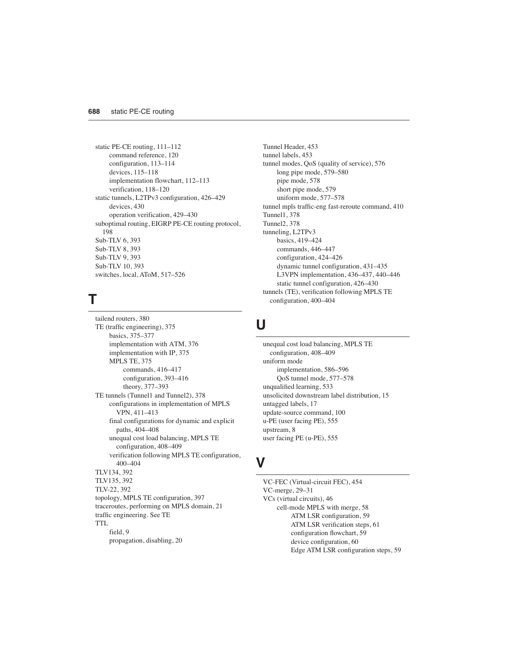static PE-CE routing, 111–112 command reference, 120 configuration, 113–114 devices, 115–118 implementation flowchart, 112–113 verification, 118–120 static tunnels, L2TPv3 configuration, 426–429 devices, 430 operation verification, 429–430 suboptimal routing, EIGRP PE-CE routing protocol, 198 Sub-TLV 6, 393 Sub-TLV 8, 393 Sub-TLV 9, 393 Sub-TLV 10, 393 switches, local, AToM, 517–526

#### **T**

tailend routers, 380 TE (traffic engineering), 375 basics, 375–377 implementation with ATM, 376 implementation with IP, 375 MPLS TE, 375 commands, 416–417 configuration, 393–416 theory, 377–393 TE tunnels (Tunnel1 and Tunnel2), 378 configurations in implementation of MPLS VPN, 411–413 final configurations for dynamic and explicit paths, 404–408 unequal cost load balancing, MPLS TE configuration, 408–409 verification following MPLS TE configuration, 400–404 TLV134, 392 TLV135, 392 TLV-22, 392 topology, MPLS TE configuration, 397 traceroutes, performing on MPLS domain, 21 traffic engineering. See TE TTL field, 9 propagation, disabling, 20

Tunnel Header, 453 tunnel labels, 453 tunnel modes, QoS (quality of service), 576 long pipe mode, 579–580 pipe mode, 578 short pipe mode, 579 uniform mode, 577–578 tunnel mpls traffic-eng fast-reroute command, 410 Tunnel1, 378 Tunnel2, 378 tunneling, L2TPv3 basics, 419–424 commands, 446–447 configuration, 424–426 dynamic tunnel configuration, 431–435 L3VPN implementation, 436–437, 440–446 static tunnel configuration, 426–430 tunnels (TE), verification following MPLS TE configuration, 400–404

#### **U**

unequal cost load balancing, MPLS TE configuration, 408–409 uniform mode implementation, 586–596 QoS tunnel mode, 577–578 unqualified learning, 533 unsolicited downstream label distribution, 15 untagged labels, 17 update-source command, 100 u-PE (user facing PE), 555 upstream, 8 user facing PE (u-PE), 555

# **V**

VC-FEC (Virtual-circuit FEC), 454 VC-merge, 29–31 VCs (virtual circuits), 46 cell-mode MPLS with merge, 58 ATM LSR configuration, 59 ATM LSR verification steps, 61 configuration flowchart, 59 device configuration, 60 Edge ATM LSR configuration steps, 59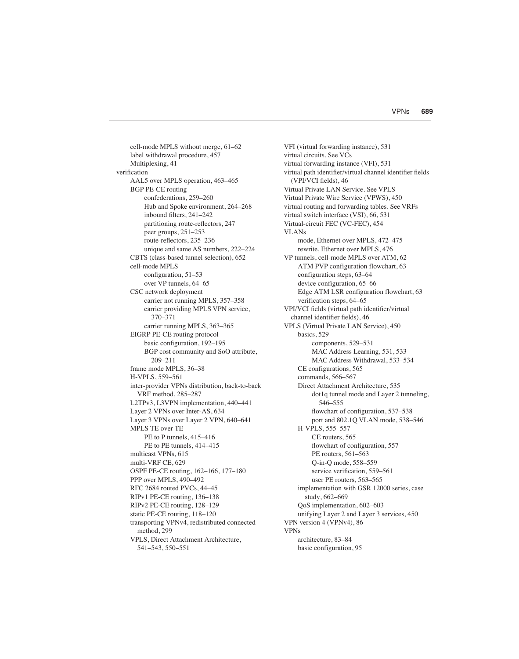cell-mode MPLS without merge, 61–62 label withdrawal procedure, 457 Multiplexing, 41 verification AAL5 over MPLS operation, 463–465 BGP PE-CE routing confederations, 259–260 Hub and Spoke environment, 264–268 inbound filters, 241–242 partitioning route-reflectors, 247 peer groups, 251–253 route-reflectors, 235–236 unique and same AS numbers, 222–224 CBTS (class-based tunnel selection), 652 cell-mode MPLS configuration, 51–53 over VP tunnels, 64–65 CSC network deployment carrier not running MPLS, 357–358 carrier providing MPLS VPN service, 370–371 carrier running MPLS, 363–365 EIGRP PE-CE routing protocol basic configuration, 192–195 BGP cost community and SoO attribute, 209–211 frame mode MPLS, 36–38 H-VPLS, 559–561 inter-provider VPNs distribution, back-to-back VRF method, 285–287 L2TPv3, L3VPN implementation, 440–441 Layer 2 VPNs over Inter-AS, 634 Layer 3 VPNs over Layer 2 VPN, 640–641 MPLS TE over TE PE to P tunnels, 415–416 PE to PE tunnels, 414–415 multicast VPNs, 615 multi-VRF CE, 629 OSPF PE-CE routing, 162–166, 177–180 PPP over MPLS, 490–492 RFC 2684 routed PVCs, 44–45 RIPv1 PE-CE routing, 136–138 RIPv2 PE-CE routing, 128–129 static PE-CE routing, 118–120 transporting VPNv4, redistributed connected method, 299 VPLS, Direct Attachment Architecture, 541–543, 550–551

VFI (virtual forwarding instance), 531 virtual circuits. See VCs virtual forwarding instance (VFI), 531 virtual path identifier/virtual channel identifier fields (VPI/VCI fields), 46 Virtual Private LAN Service. See VPLS Virtual Private Wire Service (VPWS), 450 virtual routing and forwarding tables. See VRFs virtual switch interface (VSI), 66, 531 Virtual-circuit FEC (VC-FEC), 454 VLANs mode, Ethernet over MPLS, 472–475 rewrite, Ethernet over MPLS, 476 VP tunnels, cell-mode MPLS over ATM, 62 ATM PVP configuration flowchart, 63 configuration steps, 63–64 device configuration, 65–66 Edge ATM LSR configuration flowchart, 63 verification steps, 64–65 VPI/VCI fields (virtual path identifier/virtual channel identifier fields), 46 VPLS (Virtual Private LAN Service), 450 basics, 529 components, 529–531 MAC Address Learning, 531, 533 MAC Address Withdrawal, 533–534 CE configurations, 565 commands, 566–567 Direct Attachment Architecture, 535 dot1q tunnel mode and Layer 2 tunneling, 546–555 flowchart of configuration, 537–538 port and 802.1Q VLAN mode, 538–546 H-VPLS, 555–557 CE routers, 565 flowchart of configuration, 557 PE routers, 561–563 Q-in-Q mode, 558–559 service verification, 559–561 user PE routers, 563–565 implementation with GSR 12000 series, case study, 662–669 QoS implementation, 602–603 unifying Layer 2 and Layer 3 services, 450 VPN version 4 (VPNv4), 86 **VPNs** architecture, 83–84 basic configuration, 95